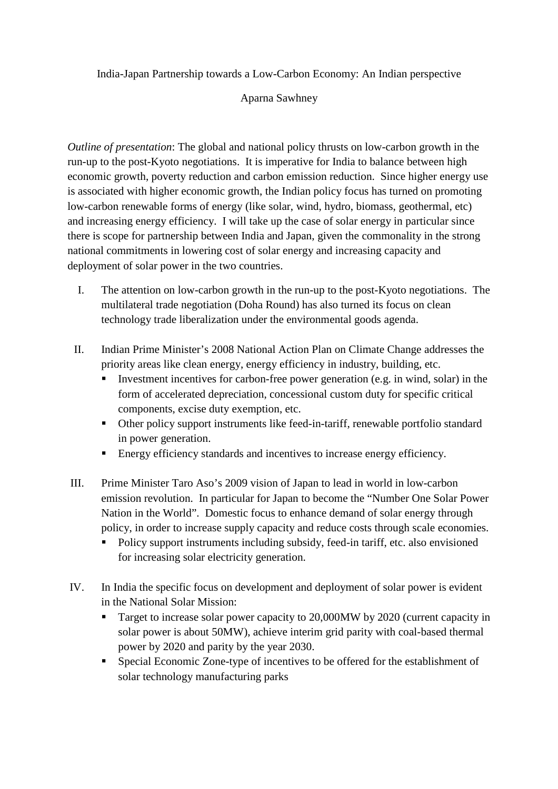India-Japan Partnership towards a Low-Carbon Economy: An Indian perspective

## Aparna Sawhney

*Outline of presentation*: The global and national policy thrusts on low-carbon growth in the run-up to the post-Kyoto negotiations. It is imperative for India to balance between high economic growth, poverty reduction and carbon emission reduction. Since higher energy use is associated with higher economic growth, the Indian policy focus has turned on promoting low-carbon renewable forms of energy (like solar, wind, hydro, biomass, geothermal, etc) and increasing energy efficiency. I will take up the case of solar energy in particular since there is scope for partnership between India and Japan, given the commonality in the strong national commitments in lowering cost of solar energy and increasing capacity and deployment of solar power in the two countries.

- I. The attention on low-carbon growth in the run-up to the post-Kyoto negotiations. The multilateral trade negotiation (Doha Round) has also turned its focus on clean technology trade liberalization under the environmental goods agenda.
- II. Indian Prime Minister's 2008 National Action Plan on Climate Change addresses the priority areas like clean energy, energy efficiency in industry, building, etc.
	- Investment incentives for carbon-free power generation (e.g. in wind, solar) in the form of accelerated depreciation, concessional custom duty for specific critical components, excise duty exemption, etc.
	- Other policy support instruments like feed-in-tariff, renewable portfolio standard in power generation.
	- Energy efficiency standards and incentives to increase energy efficiency.
- III. Prime Minister Taro Aso's 2009 vision of Japan to lead in world in low-carbon emission revolution. In particular for Japan to become the "Number One Solar Power Nation in the World". Domestic focus to enhance demand of solar energy through policy, in order to increase supply capacity and reduce costs through scale economies.
	- Policy support instruments including subsidy, feed-in tariff, etc. also envisioned for increasing solar electricity generation.
- IV. In India the specific focus on development and deployment of solar power is evident in the National Solar Mission:
	- Target to increase solar power capacity to 20,000 MW by 2020 (current capacity in solar power is about 50MW), achieve interim grid parity with coal-based thermal power by 2020 and parity by the year 2030.
	- Special Economic Zone-type of incentives to be offered for the establishment of solar technology manufacturing parks